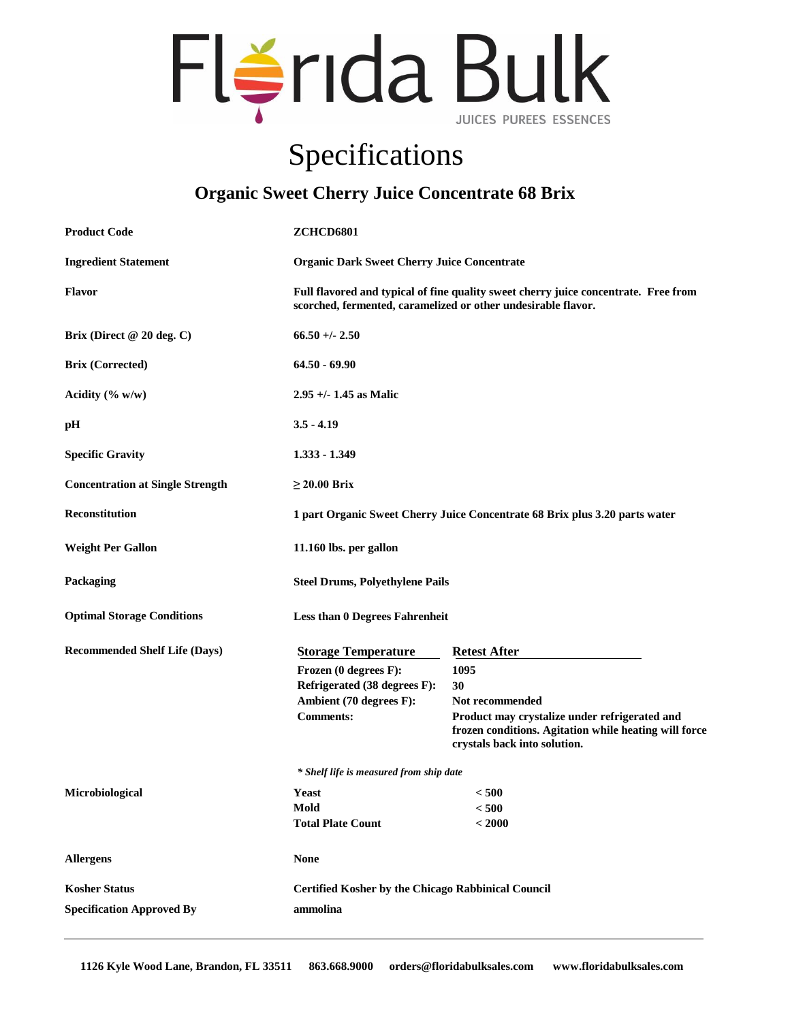

## Specifications

## **Organic Sweet Cherry Juice Concentrate 68 Brix**

| <b>Product Code</b>                     | <b>ZCHCD6801</b>                                                                                                                                     |                                                                                                                                                                                                |  |
|-----------------------------------------|------------------------------------------------------------------------------------------------------------------------------------------------------|------------------------------------------------------------------------------------------------------------------------------------------------------------------------------------------------|--|
| <b>Ingredient Statement</b>             | <b>Organic Dark Sweet Cherry Juice Concentrate</b>                                                                                                   |                                                                                                                                                                                                |  |
| <b>Flavor</b>                           | Full flavored and typical of fine quality sweet cherry juice concentrate. Free from<br>scorched, fermented, caramelized or other undesirable flavor. |                                                                                                                                                                                                |  |
| Brix (Direct @ 20 deg. C)               | $66.50 +/- 2.50$                                                                                                                                     |                                                                                                                                                                                                |  |
| <b>Brix (Corrected)</b>                 | $64.50 - 69.90$                                                                                                                                      |                                                                                                                                                                                                |  |
| Acidity $(\% w/w)$                      | $2.95 +/- 1.45$ as Malic                                                                                                                             |                                                                                                                                                                                                |  |
| pH                                      | $3.5 - 4.19$                                                                                                                                         |                                                                                                                                                                                                |  |
| <b>Specific Gravity</b>                 | 1.333 - 1.349                                                                                                                                        |                                                                                                                                                                                                |  |
| <b>Concentration at Single Strength</b> | $\geq$ 20.00 Brix                                                                                                                                    |                                                                                                                                                                                                |  |
| <b>Reconstitution</b>                   | 1 part Organic Sweet Cherry Juice Concentrate 68 Brix plus 3.20 parts water                                                                          |                                                                                                                                                                                                |  |
| <b>Weight Per Gallon</b>                | 11.160 lbs. per gallon                                                                                                                               |                                                                                                                                                                                                |  |
| Packaging                               | <b>Steel Drums, Polyethylene Pails</b>                                                                                                               |                                                                                                                                                                                                |  |
| <b>Optimal Storage Conditions</b>       | <b>Less than 0 Degrees Fahrenheit</b>                                                                                                                |                                                                                                                                                                                                |  |
| <b>Recommended Shelf Life (Days)</b>    | <b>Storage Temperature</b><br>Frozen (0 degrees F):<br>Refrigerated (38 degrees F):<br>Ambient (70 degrees F):<br><b>Comments:</b>                   | <b>Retest After</b><br>1095<br>30<br>Not recommended<br>Product may crystalize under refrigerated and<br>frozen conditions. Agitation while heating will force<br>crystals back into solution. |  |
|                                         | * Shelf life is measured from ship date                                                                                                              |                                                                                                                                                                                                |  |
| Microbiological                         | Yeast<br>Mold<br><b>Total Plate Count</b>                                                                                                            | < 500<br>< 500<br>< 2000                                                                                                                                                                       |  |
| <b>Allergens</b>                        | <b>None</b>                                                                                                                                          |                                                                                                                                                                                                |  |
| <b>Kosher Status</b>                    |                                                                                                                                                      | <b>Certified Kosher by the Chicago Rabbinical Council</b>                                                                                                                                      |  |
| <b>Specification Approved By</b>        | ammolina                                                                                                                                             |                                                                                                                                                                                                |  |